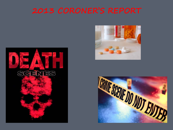



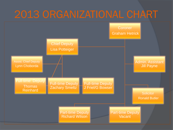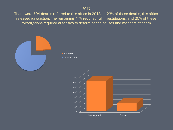## **2013**

There were 794 deaths referred to this office in 2013. In 23% of these deaths, this office released jurisdiction. The remaining 77% required full investigations, and 25% of these investigations required autopsies to determine the causes and manners of death.



**Released Investigated** 

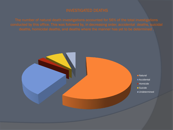The number of natural death investigations accounted for 56% of the total investigations

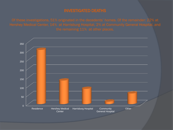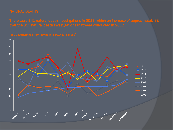There were 341 natural death investigations in 2013, which an increase of approximately 7%

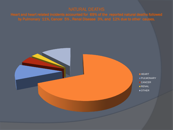Heart and heart related incidents accounted for 69% of the reported natural deaths followed by Pulmonary 11%, Cancer 5% , Renal Disease 3%, and 12% due to other causes.

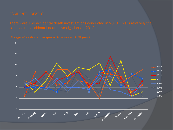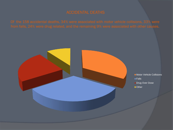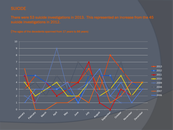There were 53 suicide investigations in 2013. This represented an increase from the 45

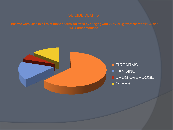

**FIREARMS HANGING DRUG OVERDOSE OTHER**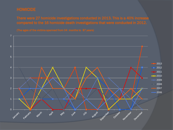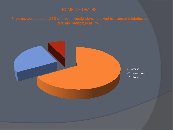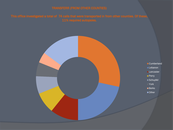![](_page_13_Figure_2.jpeg)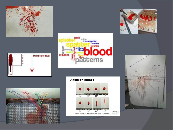![](_page_14_Picture_0.jpeg)

![](_page_14_Figure_1.jpeg)

![](_page_14_Picture_2.jpeg)

![](_page_14_Picture_3.jpeg)

![](_page_14_Figure_4.jpeg)

Image used with<br>permission from<br>Stuart James,<br>February 2007.

![](_page_14_Picture_5.jpeg)

![](_page_14_Picture_6.jpeg)

![](_page_14_Picture_7.jpeg)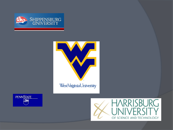![](_page_15_Picture_0.jpeg)

![](_page_15_Picture_1.jpeg)

![](_page_15_Picture_2.jpeg)

![](_page_15_Picture_3.jpeg)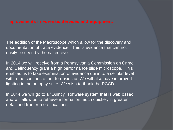# Impr**ovements in Forensic Services and Equipment:**

The addition of the Macroscope which allow for the discovery and documentation of trace evidence. This is evidence that can not easily be seen by the naked eye.

In 2014 we will receive from a Pennsylvania Commission on Crime and Delinquency grant a high performance slide microscope. This enables us to take examination of evidence down to a cellular level within the confines of our forensic lab. We will also have improved lighting in the autopsy suite. We wish to thank the PCCD.

In 2014 we will go to a "Quincy" software system that is web based and will allow us to retrieve information much quicker, in greater detail and from remote locations.